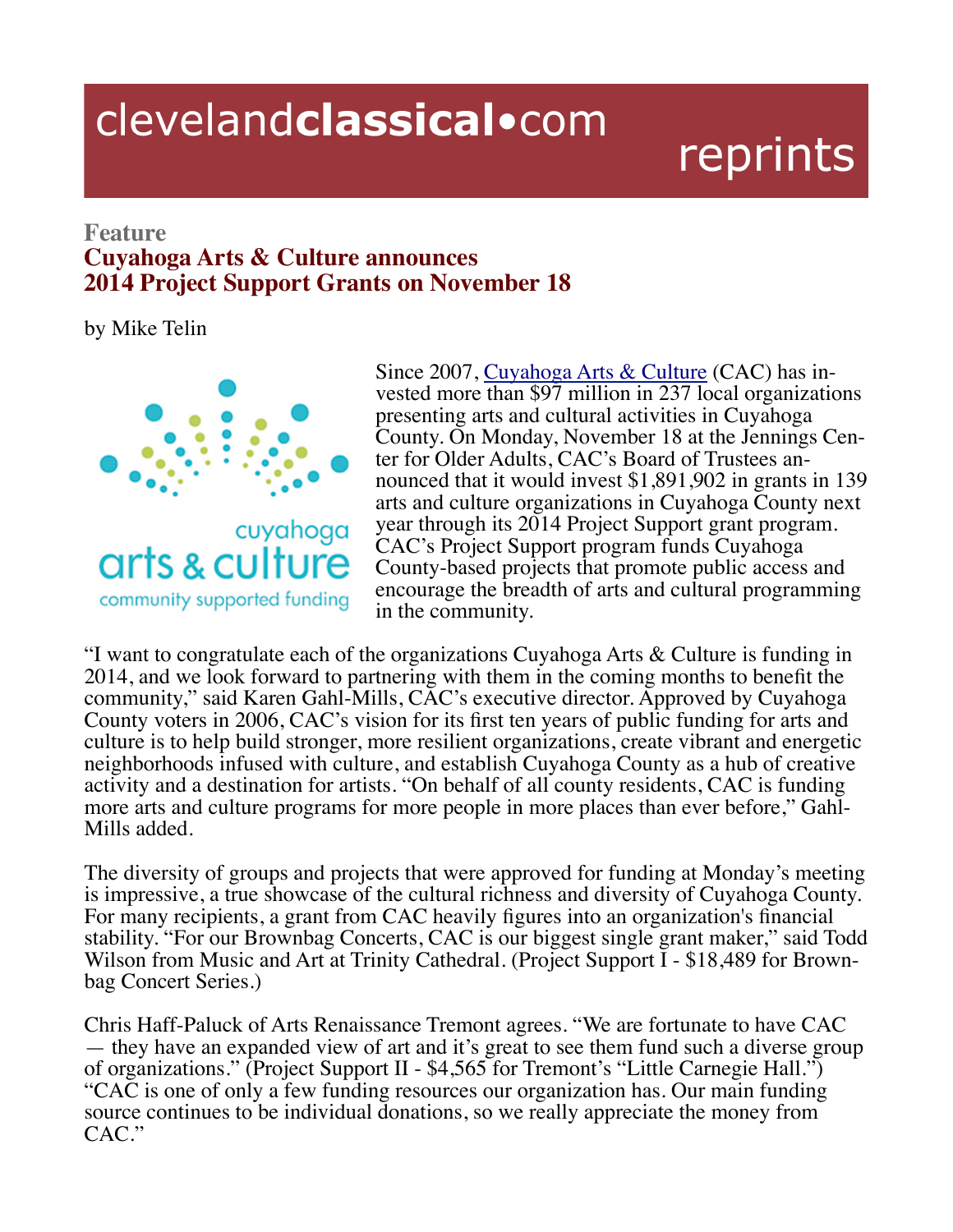## clevelandclassical.com

## reprints

## **Feature Cuyahoga Arts & Culture announces 2014 Project Support Grants on November 18**

by Mike Telin



Since 2007, Cuyahoga Arts & Culture (CAC) has invested more than \$97 million in 237 local organizations presenting arts and cultural activities in Cuyahoga County. On Monday, November 18 at the Jennings Center for Older Adults, CAC's Board of Trustees announced that it would invest \$1,891,902 in grants in 139 arts and culture organizations in Cuyahoga County next year through its 2014 Project Support grant program. CAC's Project Support program funds Cuyahoga County-based projects that promote public access and encourage the breadth of arts and cultural programming in the community.

"I want to congratulate each of the organizations Cuyahoga Arts  $\&$  Culture is funding in 2014, and we look forward to partnering with them in the coming months to benefit the community," said Karen Gahl-Mills, CAC's executive director. Approved by Cuyahoga County voters in 2006, CAC's vision for its first ten years of public funding for arts and culture is to help build stronger, more resilient organizations, create vibrant and energetic neighborhoods infused with culture, and establish Cuyahoga County as a hub of creative activity and a destination for artists. "On behalf of all county residents, CAC is funding more arts and culture programs for more people in more places than ever before," Gahl-Mills added.

The diversity of groups and projects that were approved for funding at Monday's meeting is impressive, a true showcase of the cultural richness and diversity of Cuyahoga County. For many recipients, a grant from CAC heavily figures into an organization's financial stability. "For our Brownbag Concerts, CAC is our biggest single grant maker," said Todd Wilson from Music and Art at Trinity Cathedral. (Project Support I - \$18,489 for Brown-<br>bag Concert Series.)

Chris Haff-Paluck of Arts Renaissance Tremont agrees. "We are fortunate to have CAC — they have an expanded view of art and it's great to see them fund such a diverse group of organizations." (Project Support II - \$4,565 for Tremont's "Little Carnegie Hall.") "CAC is one of only a few funding resources our organization has. Our main funding source continues to be individual donations, so we really appreciate the money from CAC."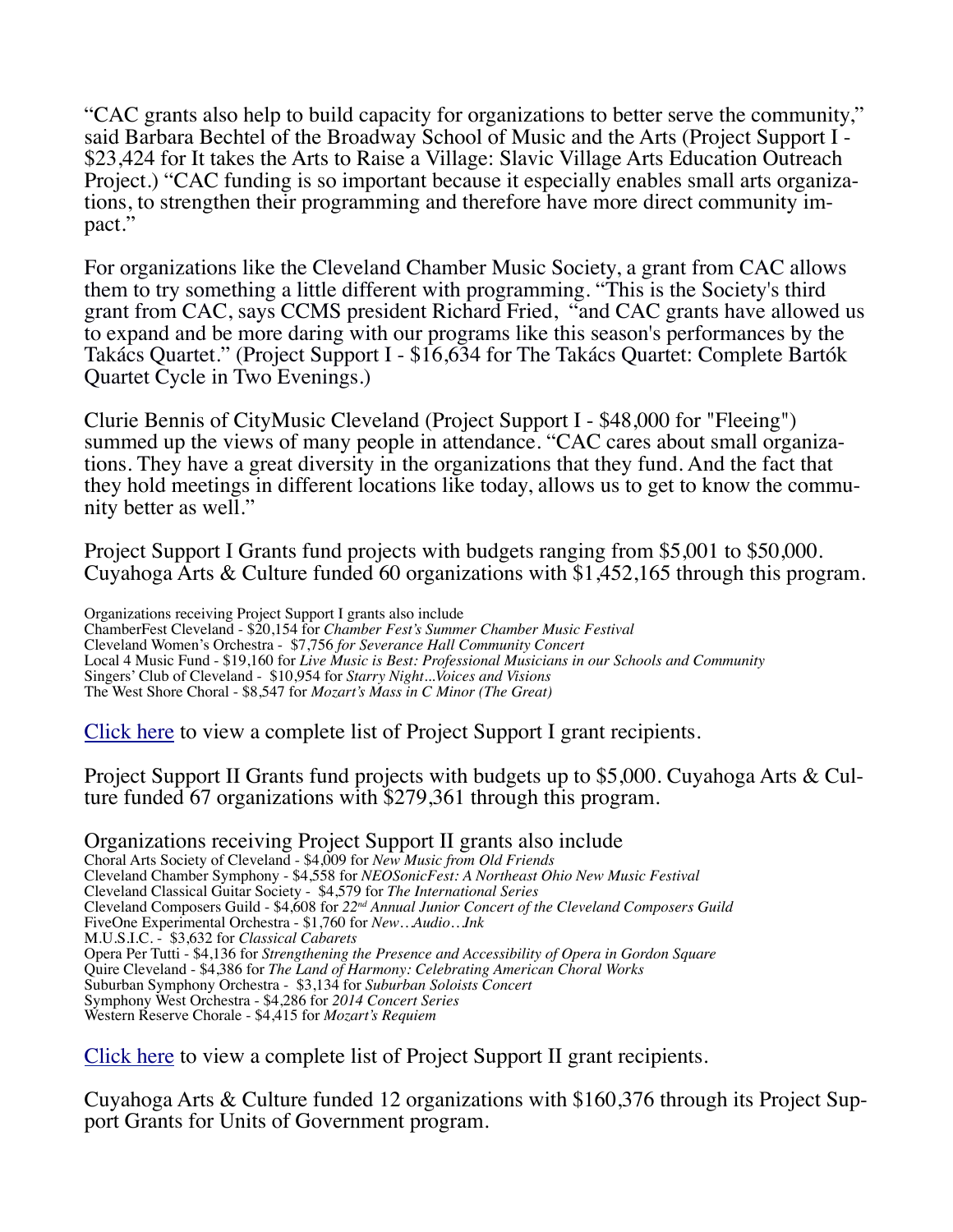"CAC grants also help to build capacity for organizations to better serve the community," said Barbara Bechtel of the Broadway School of Music and the Arts (Project Support I - \$23,424 for It takes the Arts to Raise a Village: Slavic Village Arts Education Outreach<br>Project.) "CAC funding is so important because it especially enables small arts organizations, to strengthen their programming and therefore have more direct community im-<br>pact."

For organizations like the Cleveland Chamber Music Society, a grant from CAC allows them to try something a little different with programming. "This is the Society's third grant from CAC, says CCMS president Richard Fried, "and CAC grants have allowed us to expand and be more daring with our programs like this season's performances by the Takács Quartet." (Project Support I - \$16,634 for The Takács Quartet: Complete Bartók Quartet Cycle in Two Evenings.)

Clurie Bennis of CityMusic Cleveland (Project Support I - \$48,000 for "Fleeing") summed up the views of many people in attendance. "CAC cares about small organizations. They have a great diversity in the organizations that they fund. And the fact that they hold meetings in different locations like today, allows us to get to know the commu- nity better as well."

Project Support I Grants fund projects with budgets ranging from \$5,001 to \$50,000. Cuyahoga Arts & Culture funded 60 organizations with \$1,452,165 through this program.

Organizations receiving Project Support I grants also include ChamberFest Cleveland - \$20,154 for *Chamber Fest's Summer Chamber Music Festival* Cleveland Women's Orchestra - \$7,756 *for Severance Hall Community Concert* Local 4 Music Fund - \$19,160 for *Live Music is Best: Professional Musicians in our Schools and Community* Singers' Club of Cleveland - \$10,954 for *Starry Night...Voices and Visions* The West Shore Choral - \$8,547 for *Mozart's Mass in C Minor (The Great)*

Click here to view a complete list of Project Support I grant recipients.

Project Support II Grants fund projects with budgets up to \$5,000. Cuyahoga Arts & Cul- ture funded 67 organizations with \$279,361 through this program.

Organizations receiving Project Support II grants also include Choral Arts Society of Cleveland - \$4,009 for *New Music from Old Friends*  Cleveland Chamber Symphony - \$4,558 for *NEOSonicFest: A Northeast Ohio New Music Festival* Cleveland Classical Guitar Society - \$4,579 for *The International Series* Cleveland Composers Guild - \$4,608 for *22nd Annual Junior Concert of the Cleveland Composers Guild* FiveOne Experimental Orchestra - \$1,760 for *New…Audio…Ink* M.U.S.I.C. - \$3,632 for *Classical Cabarets* Opera Per Tutti - \$4,136 for *Strengthening the Presence and Accessibility of Opera in Gordon Square* Quire Cleveland - \$4,386 for *The Land of Harmony: Celebrating American Choral Works*  Suburban Symphony Orchestra - \$3,134 for *Suburban Soloists Concert* Symphony West Orchestra - \$4,286 for *2014 Concert Series* Western Reserve Chorale - \$4,415 for *Mozart's Requiem*

Click here to view a complete list of Project Support II grant recipients.

Cuyahoga Arts & Culture funded 12 organizations with \$160,376 through its Project Sup- port Grants for Units of Government program.